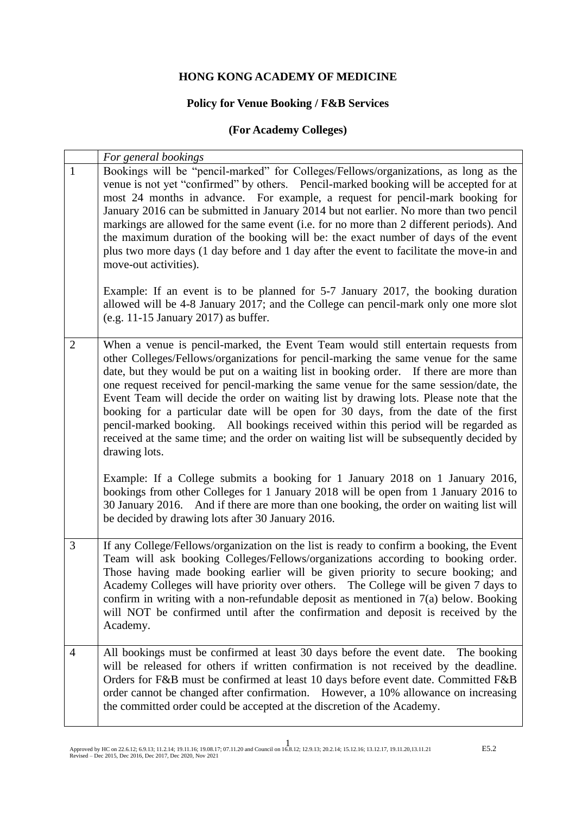#### **HONG KONG ACADEMY OF MEDICINE**

# **Policy for Venue Booking / F&B Services**

# **(For Academy Colleges)**

|                | For general bookings                                                                                                                                                                                                                                                                                                                                                                                                                                                                                                                                                                                                                                                                                                                                                                                                                       |
|----------------|--------------------------------------------------------------------------------------------------------------------------------------------------------------------------------------------------------------------------------------------------------------------------------------------------------------------------------------------------------------------------------------------------------------------------------------------------------------------------------------------------------------------------------------------------------------------------------------------------------------------------------------------------------------------------------------------------------------------------------------------------------------------------------------------------------------------------------------------|
| $\mathbf{1}$   | Bookings will be "pencil-marked" for Colleges/Fellows/organizations, as long as the<br>venue is not yet "confirmed" by others. Pencil-marked booking will be accepted for at<br>most 24 months in advance. For example, a request for pencil-mark booking for<br>January 2016 can be submitted in January 2014 but not earlier. No more than two pencil<br>markings are allowed for the same event (i.e. for no more than 2 different periods). And<br>the maximum duration of the booking will be: the exact number of days of the event<br>plus two more days (1 day before and 1 day after the event to facilitate the move-in and<br>move-out activities).<br>Example: If an event is to be planned for 5-7 January 2017, the booking duration<br>allowed will be 4-8 January 2017; and the College can pencil-mark only one more slot |
|                | $(e.g. 11-15 January 2017)$ as buffer.                                                                                                                                                                                                                                                                                                                                                                                                                                                                                                                                                                                                                                                                                                                                                                                                     |
| $\overline{2}$ | When a venue is pencil-marked, the Event Team would still entertain requests from<br>other Colleges/Fellows/organizations for pencil-marking the same venue for the same<br>date, but they would be put on a waiting list in booking order. If there are more than<br>one request received for pencil-marking the same venue for the same session/date, the<br>Event Team will decide the order on waiting list by drawing lots. Please note that the<br>booking for a particular date will be open for 30 days, from the date of the first<br>pencil-marked booking. All bookings received within this period will be regarded as<br>received at the same time; and the order on waiting list will be subsequently decided by<br>drawing lots.                                                                                            |
|                | Example: If a College submits a booking for 1 January 2018 on 1 January 2016,<br>bookings from other Colleges for 1 January 2018 will be open from 1 January 2016 to<br>30 January 2016. And if there are more than one booking, the order on waiting list will<br>be decided by drawing lots after 30 January 2016.                                                                                                                                                                                                                                                                                                                                                                                                                                                                                                                       |
| 3              | If any College/Fellows/organization on the list is ready to confirm a booking, the Event<br>Team will ask booking Colleges/Fellows/organizations according to booking order.<br>Those having made booking earlier will be given priority to secure booking; and<br>Academy Colleges will have priority over others. The College will be given 7 days to<br>confirm in writing with a non-refundable deposit as mentioned in $7(a)$ below. Booking<br>will NOT be confirmed until after the confirmation and deposit is received by the<br>Academy.                                                                                                                                                                                                                                                                                         |
| $\overline{4}$ | All bookings must be confirmed at least 30 days before the event date.<br>The booking<br>will be released for others if written confirmation is not received by the deadline.<br>Orders for F&B must be confirmed at least 10 days before event date. Committed F&B<br>order cannot be changed after confirmation. However, a 10% allowance on increasing<br>the committed order could be accepted at the discretion of the Academy.                                                                                                                                                                                                                                                                                                                                                                                                       |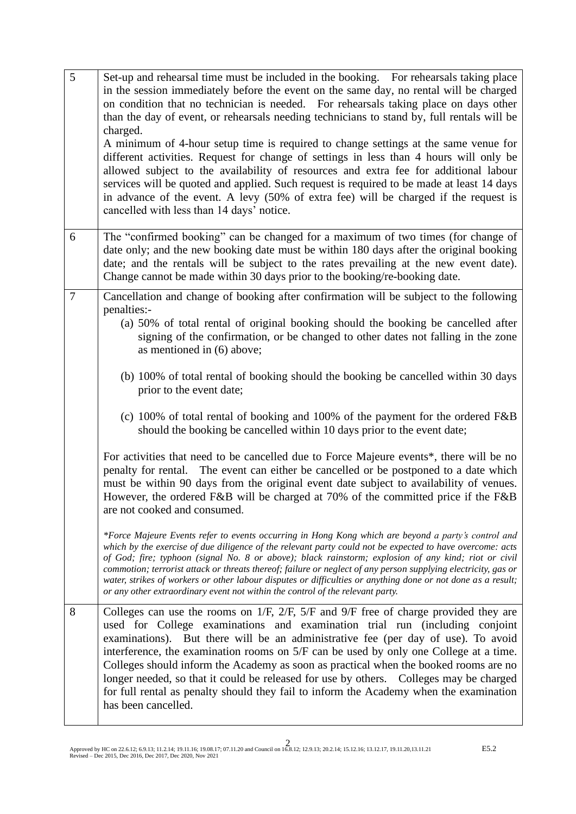| 5      | Set-up and rehearsal time must be included in the booking. For rehearsals taking place<br>in the session immediately before the event on the same day, no rental will be charged<br>on condition that no technician is needed. For rehearsals taking place on days other<br>than the day of event, or rehearsals needing technicians to stand by, full rentals will be<br>charged.<br>A minimum of 4-hour setup time is required to change settings at the same venue for<br>different activities. Request for change of settings in less than 4 hours will only be<br>allowed subject to the availability of resources and extra fee for additional labour<br>services will be quoted and applied. Such request is required to be made at least 14 days<br>in advance of the event. A levy (50% of extra fee) will be charged if the request is<br>cancelled with less than 14 days' notice.                                                                                                                                                                                                                                                                                                                         |
|--------|-----------------------------------------------------------------------------------------------------------------------------------------------------------------------------------------------------------------------------------------------------------------------------------------------------------------------------------------------------------------------------------------------------------------------------------------------------------------------------------------------------------------------------------------------------------------------------------------------------------------------------------------------------------------------------------------------------------------------------------------------------------------------------------------------------------------------------------------------------------------------------------------------------------------------------------------------------------------------------------------------------------------------------------------------------------------------------------------------------------------------------------------------------------------------------------------------------------------------|
| 6      | The "confirmed booking" can be changed for a maximum of two times (for change of<br>date only; and the new booking date must be within 180 days after the original booking<br>date; and the rentals will be subject to the rates prevailing at the new event date).<br>Change cannot be made within 30 days prior to the booking/re-booking date.                                                                                                                                                                                                                                                                                                                                                                                                                                                                                                                                                                                                                                                                                                                                                                                                                                                                     |
| $\tau$ | Cancellation and change of booking after confirmation will be subject to the following<br>penalties:-<br>(a) 50% of total rental of original booking should the booking be cancelled after<br>signing of the confirmation, or be changed to other dates not falling in the zone<br>as mentioned in (6) above;<br>(b) 100% of total rental of booking should the booking be cancelled within 30 days<br>prior to the event date;<br>(c) 100% of total rental of booking and 100% of the payment for the ordered F&B<br>should the booking be cancelled within 10 days prior to the event date;<br>For activities that need to be cancelled due to Force Majeure events*, there will be no<br>penalty for rental. The event can either be cancelled or be postponed to a date which<br>must be within 90 days from the original event date subject to availability of venues.<br>However, the ordered F&B will be charged at 70% of the committed price if the F&B<br>are not cooked and consumed.<br>which by the exercise of due diligence of the relevant party could not be expected to have overcome: acts<br>of God; fire; typhoon (signal No. 8 or above); black rainstorm; explosion of any kind; riot or civil |
| 8      | commotion; terrorist attack or threats thereof; failure or neglect of any person supplying electricity, gas or<br>water, strikes of workers or other labour disputes or difficulties or anything done or not done as a result;<br>or any other extraordinary event not within the control of the relevant party.<br>Colleges can use the rooms on 1/F, 2/F, 5/F and 9/F free of charge provided they are<br>used for College examinations and examination trial run (including conjoint<br>examinations). But there will be an administrative fee (per day of use). To avoid<br>interference, the examination rooms on 5/F can be used by only one College at a time.<br>Colleges should inform the Academy as soon as practical when the booked rooms are no<br>longer needed, so that it could be released for use by others. Colleges may be charged<br>for full rental as penalty should they fail to inform the Academy when the examination<br>has been cancelled.                                                                                                                                                                                                                                              |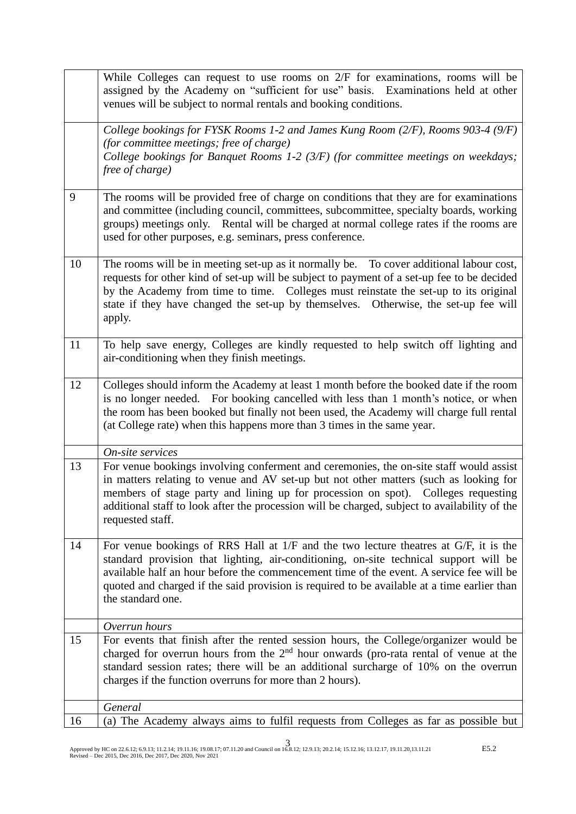|    | While Colleges can request to use rooms on $2/F$ for examinations, rooms will be<br>assigned by the Academy on "sufficient for use" basis. Examinations held at other<br>venues will be subject to normal rentals and booking conditions.                                                                                                                                                    |
|----|----------------------------------------------------------------------------------------------------------------------------------------------------------------------------------------------------------------------------------------------------------------------------------------------------------------------------------------------------------------------------------------------|
|    | College bookings for FYSK Rooms 1-2 and James Kung Room (2/F), Rooms 903-4 (9/F)<br>(for committee meetings; free of charge)<br>College bookings for Banquet Rooms 1-2 $(3/F)$ (for committee meetings on weekdays;<br>free of charge)                                                                                                                                                       |
| 9  | The rooms will be provided free of charge on conditions that they are for examinations<br>and committee (including council, committees, subcommittee, specialty boards, working<br>groups) meetings only. Rental will be charged at normal college rates if the rooms are<br>used for other purposes, e.g. seminars, press conference.                                                       |
| 10 | The rooms will be in meeting set-up as it normally be. To cover additional labour cost,<br>requests for other kind of set-up will be subject to payment of a set-up fee to be decided<br>by the Academy from time to time. Colleges must reinstate the set-up to its original<br>state if they have changed the set-up by themselves. Otherwise, the set-up fee will<br>apply.               |
| 11 | To help save energy, Colleges are kindly requested to help switch off lighting and<br>air-conditioning when they finish meetings.                                                                                                                                                                                                                                                            |
| 12 | Colleges should inform the Academy at least 1 month before the booked date if the room<br>is no longer needed. For booking cancelled with less than 1 month's notice, or when<br>the room has been booked but finally not been used, the Academy will charge full rental<br>(at College rate) when this happens more than 3 times in the same year.                                          |
|    | On-site services                                                                                                                                                                                                                                                                                                                                                                             |
| 13 | For venue bookings involving conferment and ceremonies, the on-site staff would assist<br>in matters relating to venue and AV set-up but not other matters (such as looking for<br>members of stage party and lining up for procession on spot). Colleges requesting<br>additional staff to look after the procession will be charged, subject to availability of the<br>requested staff.    |
| 14 | For venue bookings of RRS Hall at 1/F and the two lecture theatres at G/F, it is the<br>standard provision that lighting, air-conditioning, on-site technical support will be<br>available half an hour before the commencement time of the event. A service fee will be<br>quoted and charged if the said provision is required to be available at a time earlier than<br>the standard one. |
|    | Overrun hours                                                                                                                                                                                                                                                                                                                                                                                |
| 15 | For events that finish after the rented session hours, the College/organizer would be<br>charged for overrun hours from the $2nd$ hour onwards (pro-rata rental of venue at the<br>standard session rates; there will be an additional surcharge of 10% on the overrun<br>charges if the function overruns for more than 2 hours).                                                           |
|    | General                                                                                                                                                                                                                                                                                                                                                                                      |
| 16 | (a) The Academy always aims to fulfil requests from Colleges as far as possible but                                                                                                                                                                                                                                                                                                          |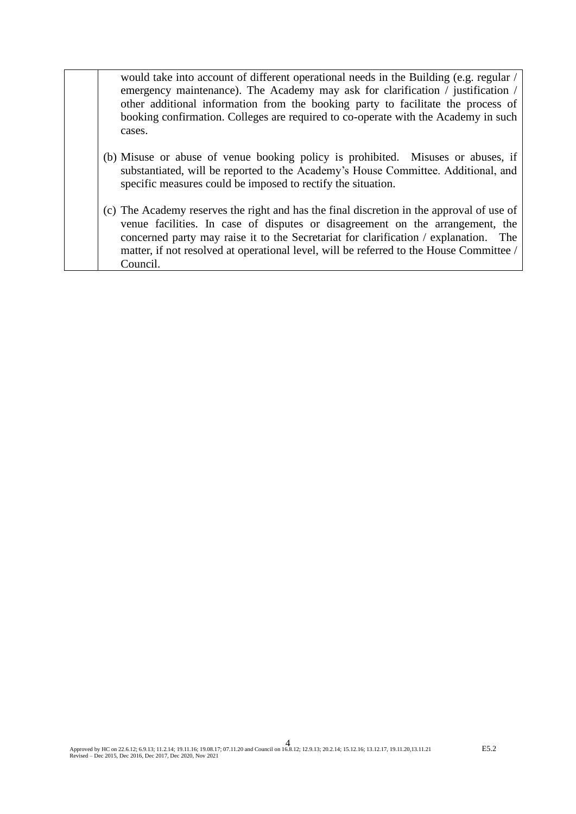| would take into account of different operational needs in the Building (e.g. regular /<br>emergency maintenance). The Academy may ask for clarification / justification / |
|---------------------------------------------------------------------------------------------------------------------------------------------------------------------------|
| other additional information from the booking party to facilitate the process of                                                                                          |
| booking confirmation. Colleges are required to co-operate with the Academy in such                                                                                        |
| cases.                                                                                                                                                                    |
|                                                                                                                                                                           |
| (b) Misuse or abuse of venue booking policy is prohibited. Misuses or abuses, if                                                                                          |
| substantiated will be reported to the Acedemy's House Committee, Additional and                                                                                           |

- substantiated, will be reported to the Academy's House Committee. Additional, and specific measures could be imposed to rectify the situation.
- (c) The Academy reserves the right and has the final discretion in the approval of use of venue facilities. In case of disputes or disagreement on the arrangement, the concerned party may raise it to the Secretariat for clarification / explanation. The matter, if not resolved at operational level, will be referred to the House Committee / Council.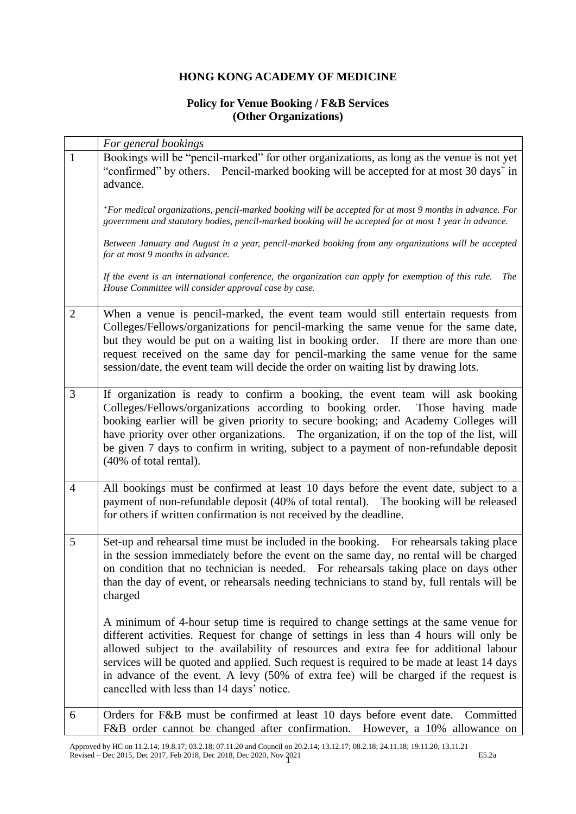### **HONG KONG ACADEMY OF MEDICINE**

### **Policy for Venue Booking / F&B Services (Other Organizations)**

|                | For general bookings                                                                                                                                                                                                                                                                                                                                                                                                                                                                                    |
|----------------|---------------------------------------------------------------------------------------------------------------------------------------------------------------------------------------------------------------------------------------------------------------------------------------------------------------------------------------------------------------------------------------------------------------------------------------------------------------------------------------------------------|
| $\mathbf{1}$   | Bookings will be "pencil-marked" for other organizations, as long as the venue is not yet<br>"confirmed" by others. Pencil-marked booking will be accepted for at most 30 days <sup>+</sup> in<br>advance.                                                                                                                                                                                                                                                                                              |
|                | +For medical organizations, pencil-marked booking will be accepted for at most 9 months in advance. For<br>government and statutory bodies, pencil-marked booking will be accepted for at most 1 year in advance.                                                                                                                                                                                                                                                                                       |
|                | Between January and August in a year, pencil-marked booking from any organizations will be accepted<br>for at most 9 months in advance.                                                                                                                                                                                                                                                                                                                                                                 |
|                | If the event is an international conference, the organization can apply for exemption of this rule. The<br>House Committee will consider approval case by case.                                                                                                                                                                                                                                                                                                                                         |
| $\overline{2}$ | When a venue is pencil-marked, the event team would still entertain requests from<br>Colleges/Fellows/organizations for pencil-marking the same venue for the same date,<br>but they would be put on a waiting list in booking order. If there are more than one<br>request received on the same day for pencil-marking the same venue for the same<br>session/date, the event team will decide the order on waiting list by drawing lots.                                                              |
| 3              | If organization is ready to confirm a booking, the event team will ask booking<br>Colleges/Fellows/organizations according to booking order. Those having made<br>booking earlier will be given priority to secure booking; and Academy Colleges will<br>have priority over other organizations. The organization, if on the top of the list, will<br>be given 7 days to confirm in writing, subject to a payment of non-refundable deposit<br>(40% of total rental).                                   |
| $\overline{4}$ | All bookings must be confirmed at least 10 days before the event date, subject to a<br>payment of non-refundable deposit (40% of total rental). The booking will be released<br>for others if written confirmation is not received by the deadline.                                                                                                                                                                                                                                                     |
| 5              | Set-up and rehearsal time must be included in the booking. For rehearsals taking place<br>in the session immediately before the event on the same day, no rental will be charged<br>on condition that no technician is needed. For rehearsals taking place on days other<br>than the day of event, or rehearsals needing technicians to stand by, full rentals will be<br>charged                                                                                                                       |
|                | A minimum of 4-hour setup time is required to change settings at the same venue for<br>different activities. Request for change of settings in less than 4 hours will only be<br>allowed subject to the availability of resources and extra fee for additional labour<br>services will be quoted and applied. Such request is required to be made at least 14 days<br>in advance of the event. A levy (50% of extra fee) will be charged if the request is<br>cancelled with less than 14 days' notice. |
| 6              | Orders for F&B must be confirmed at least 10 days before event date. Committed<br>F&B order cannot be changed after confirmation. However, a 10% allowance on                                                                                                                                                                                                                                                                                                                                           |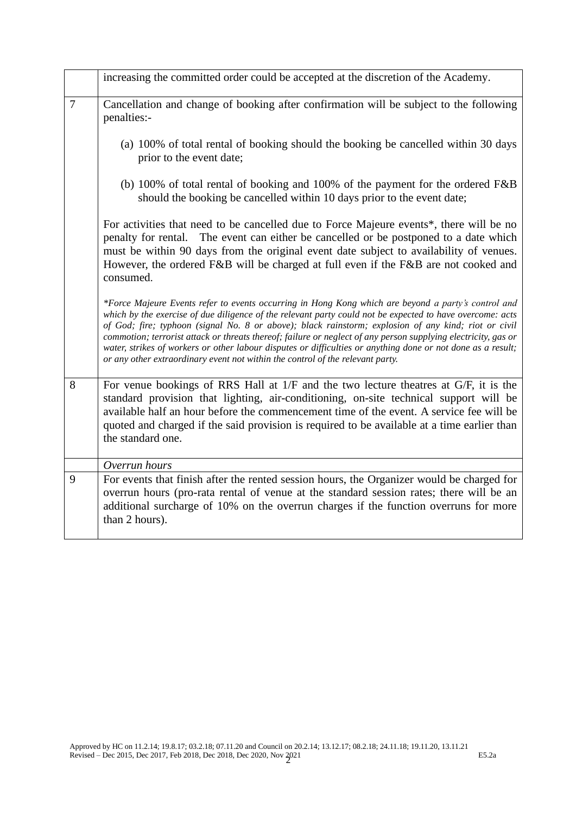|   | increasing the committed order could be accepted at the discretion of the Academy.                                                                                                                                                                                                                                                                                                                                                                                                                                                                                                                                                           |
|---|----------------------------------------------------------------------------------------------------------------------------------------------------------------------------------------------------------------------------------------------------------------------------------------------------------------------------------------------------------------------------------------------------------------------------------------------------------------------------------------------------------------------------------------------------------------------------------------------------------------------------------------------|
| 7 | Cancellation and change of booking after confirmation will be subject to the following<br>penalties:-                                                                                                                                                                                                                                                                                                                                                                                                                                                                                                                                        |
|   | (a) 100% of total rental of booking should the booking be cancelled within 30 days<br>prior to the event date;                                                                                                                                                                                                                                                                                                                                                                                                                                                                                                                               |
|   | (b) 100% of total rental of booking and 100% of the payment for the ordered $F&B$<br>should the booking be cancelled within 10 days prior to the event date;                                                                                                                                                                                                                                                                                                                                                                                                                                                                                 |
|   | For activities that need to be cancelled due to Force Majeure events*, there will be no<br>penalty for rental. The event can either be cancelled or be postponed to a date which<br>must be within 90 days from the original event date subject to availability of venues.<br>However, the ordered F&B will be charged at full even if the F&B are not cooked and<br>consumed.                                                                                                                                                                                                                                                               |
|   | *Force Majeure Events refer to events occurring in Hong Kong which are beyond a party's control and<br>which by the exercise of due diligence of the relevant party could not be expected to have overcome: acts<br>of God; fire; typhoon (signal No. 8 or above); black rainstorm; explosion of any kind; riot or civil<br>commotion; terrorist attack or threats thereof; failure or neglect of any person supplying electricity, gas or<br>water, strikes of workers or other labour disputes or difficulties or anything done or not done as a result;<br>or any other extraordinary event not within the control of the relevant party. |
| 8 | For venue bookings of RRS Hall at 1/F and the two lecture theatres at G/F, it is the<br>standard provision that lighting, air-conditioning, on-site technical support will be<br>available half an hour before the commencement time of the event. A service fee will be<br>quoted and charged if the said provision is required to be available at a time earlier than<br>the standard one.                                                                                                                                                                                                                                                 |
|   | Overrun hours                                                                                                                                                                                                                                                                                                                                                                                                                                                                                                                                                                                                                                |
| 9 | For events that finish after the rented session hours, the Organizer would be charged for<br>overrun hours (pro-rata rental of venue at the standard session rates; there will be an<br>additional surcharge of 10% on the overrun charges if the function overruns for more<br>than 2 hours).                                                                                                                                                                                                                                                                                                                                               |